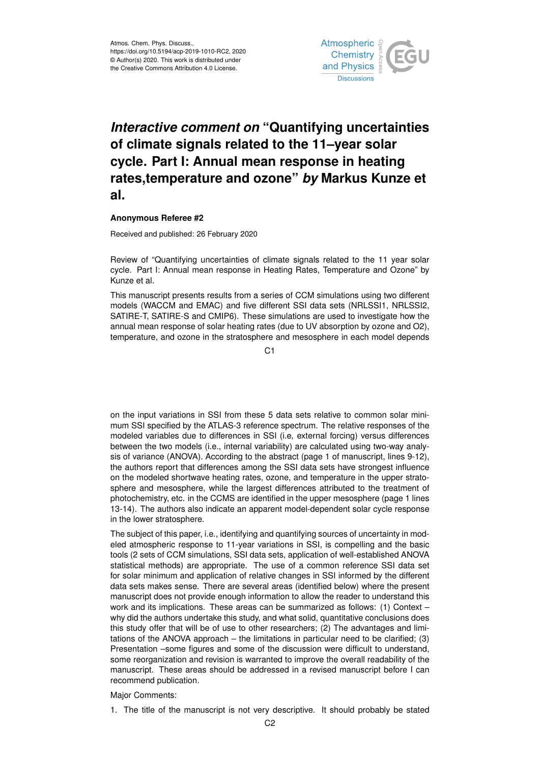

## *Interactive comment on* **"Quantifying uncertainties of climate signals related to the 11–year solar cycle. Part I: Annual mean response in heating rates,temperature and ozone"** *by* **Markus Kunze et al.**

## **Anonymous Referee #2**

Received and published: 26 February 2020

Review of "Quantifying uncertainties of climate signals related to the 11 year solar cycle. Part I: Annual mean response in Heating Rates, Temperature and Ozone" by Kunze et al.

This manuscript presents results from a series of CCM simulations using two different models (WACCM and EMAC) and five different SSI data sets (NRLSSI1, NRLSSI2, SATIRE-T, SATIRE-S and CMIP6). These simulations are used to investigate how the annual mean response of solar heating rates (due to UV absorption by ozone and O2), temperature, and ozone in the stratosphere and mesosphere in each model depends

 $C<sub>1</sub>$ 

on the input variations in SSI from these 5 data sets relative to common solar minimum SSI specified by the ATLAS-3 reference spectrum. The relative responses of the modeled variables due to differences in SSI (i.e, external forcing) versus differences between the two models (i.e., internal variability) are calculated using two-way analysis of variance (ANOVA). According to the abstract (page 1 of manuscript, lines 9-12), the authors report that differences among the SSI data sets have strongest influence on the modeled shortwave heating rates, ozone, and temperature in the upper stratosphere and mesosphere, while the largest differences attributed to the treatment of photochemistry, etc. in the CCMS are identified in the upper mesosphere (page 1 lines 13-14). The authors also indicate an apparent model-dependent solar cycle response in the lower stratosphere.

The subject of this paper, i.e., identifying and quantifying sources of uncertainty in modeled atmospheric response to 11-year variations in SSI, is compelling and the basic tools (2 sets of CCM simulations, SSI data sets, application of well-established ANOVA statistical methods) are appropriate. The use of a common reference SSI data set for solar minimum and application of relative changes in SSI informed by the different data sets makes sense. There are several areas (identified below) where the present manuscript does not provide enough information to allow the reader to understand this work and its implications. These areas can be summarized as follows: (1) Context – why did the authors undertake this study, and what solid, quantitative conclusions does this study offer that will be of use to other researchers; (2) The advantages and limitations of the ANOVA approach – the limitations in particular need to be clarified; (3) Presentation –some figures and some of the discussion were difficult to understand, some reorganization and revision is warranted to improve the overall readability of the manuscript. These areas should be addressed in a revised manuscript before I can recommend publication.

Major Comments:

1. The title of the manuscript is not very descriptive. It should probably be stated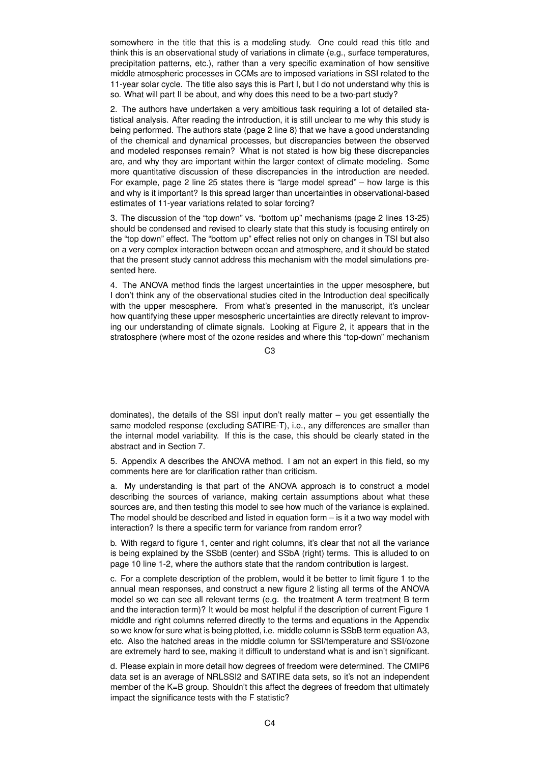somewhere in the title that this is a modeling study. One could read this title and think this is an observational study of variations in climate (e.g., surface temperatures, precipitation patterns, etc.), rather than a very specific examination of how sensitive middle atmospheric processes in CCMs are to imposed variations in SSI related to the 11-year solar cycle. The title also says this is Part I, but I do not understand why this is so. What will part II be about, and why does this need to be a two-part study?

2. The authors have undertaken a very ambitious task requiring a lot of detailed statistical analysis. After reading the introduction, it is still unclear to me why this study is being performed. The authors state (page 2 line 8) that we have a good understanding of the chemical and dynamical processes, but discrepancies between the observed and modeled responses remain? What is not stated is how big these discrepancies are, and why they are important within the larger context of climate modeling. Some more quantitative discussion of these discrepancies in the introduction are needed. For example, page 2 line 25 states there is "large model spread" – how large is this and why is it important? Is this spread larger than uncertainties in observational-based estimates of 11-year variations related to solar forcing?

3. The discussion of the "top down" vs. "bottom up" mechanisms (page 2 lines 13-25) should be condensed and revised to clearly state that this study is focusing entirely on the "top down" effect. The "bottom up" effect relies not only on changes in TSI but also on a very complex interaction between ocean and atmosphere, and it should be stated that the present study cannot address this mechanism with the model simulations presented here.

4. The ANOVA method finds the largest uncertainties in the upper mesosphere, but I don't think any of the observational studies cited in the Introduction deal specifically with the upper mesosphere. From what's presented in the manuscript, it's unclear how quantifying these upper mesospheric uncertainties are directly relevant to improving our understanding of climate signals. Looking at Figure 2, it appears that in the stratosphere (where most of the ozone resides and where this "top-down" mechanism

C3

dominates), the details of the SSI input don't really matter – you get essentially the same modeled response (excluding SATIRE-T), i.e., any differences are smaller than the internal model variability. If this is the case, this should be clearly stated in the abstract and in Section 7.

5. Appendix A describes the ANOVA method. I am not an expert in this field, so my comments here are for clarification rather than criticism.

a. My understanding is that part of the ANOVA approach is to construct a model describing the sources of variance, making certain assumptions about what these sources are, and then testing this model to see how much of the variance is explained. The model should be described and listed in equation form  $-$  is it a two way model with interaction? Is there a specific term for variance from random error?

b. With regard to figure 1, center and right columns, it's clear that not all the variance is being explained by the SSbB (center) and SSbA (right) terms. This is alluded to on page 10 line 1-2, where the authors state that the random contribution is largest.

c. For a complete description of the problem, would it be better to limit figure 1 to the annual mean responses, and construct a new figure 2 listing all terms of the ANOVA model so we can see all relevant terms (e.g. the treatment A term treatment B term and the interaction term)? It would be most helpful if the description of current Figure 1 middle and right columns referred directly to the terms and equations in the Appendix so we know for sure what is being plotted, i.e. middle column is SSbB term equation A3, etc. Also the hatched areas in the middle column for SSI/temperature and SSI/ozone are extremely hard to see, making it difficult to understand what is and isn't significant.

d. Please explain in more detail how degrees of freedom were determined. The CMIP6 data set is an average of NRLSSI2 and SATIRE data sets, so it's not an independent member of the K=B group. Shouldn't this affect the degrees of freedom that ultimately impact the significance tests with the F statistic?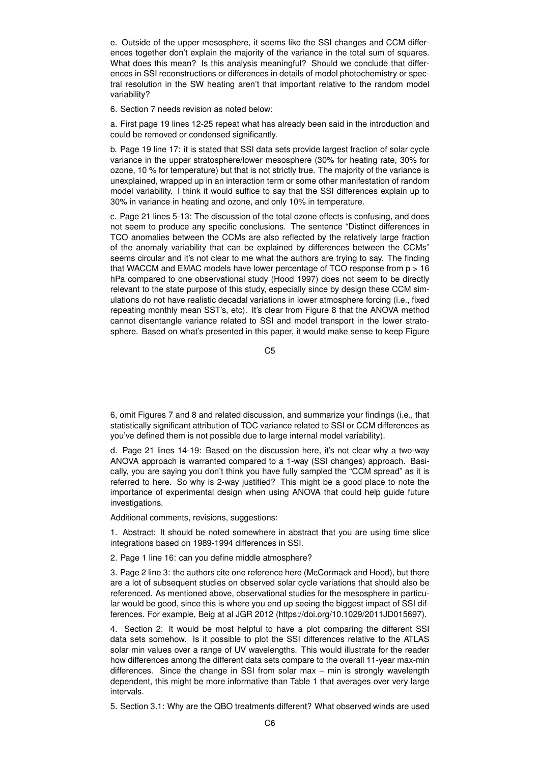e. Outside of the upper mesosphere, it seems like the SSI changes and CCM differences together don't explain the majority of the variance in the total sum of squares. What does this mean? Is this analysis meaningful? Should we conclude that differences in SSI reconstructions or differences in details of model photochemistry or spectral resolution in the SW heating aren't that important relative to the random model variability?

6. Section 7 needs revision as noted below:

a. First page 19 lines 12-25 repeat what has already been said in the introduction and could be removed or condensed significantly.

b. Page 19 line 17: it is stated that SSI data sets provide largest fraction of solar cycle variance in the upper stratosphere/lower mesosphere (30% for heating rate, 30% for ozone, 10 % for temperature) but that is not strictly true. The majority of the variance is unexplained, wrapped up in an interaction term or some other manifestation of random model variability. I think it would suffice to say that the SSI differences explain up to 30% in variance in heating and ozone, and only 10% in temperature.

c. Page 21 lines 5-13: The discussion of the total ozone effects is confusing, and does not seem to produce any specific conclusions. The sentence "Distinct differences in TCO anomalies between the CCMs are also reflected by the relatively large fraction of the anomaly variability that can be explained by differences between the CCMs" seems circular and it's not clear to me what the authors are trying to say. The finding that WACCM and EMAC models have lower percentage of TCO response from  $p > 16$ hPa compared to one observational study (Hood 1997) does not seem to be directly relevant to the state purpose of this study, especially since by design these CCM simulations do not have realistic decadal variations in lower atmosphere forcing (i.e., fixed repeating monthly mean SST's, etc). It's clear from Figure 8 that the ANOVA method cannot disentangle variance related to SSI and model transport in the lower stratosphere. Based on what's presented in this paper, it would make sense to keep Figure

C5

6, omit Figures 7 and 8 and related discussion, and summarize your findings (i.e., that statistically significant attribution of TOC variance related to SSI or CCM differences as you've defined them is not possible due to large internal model variability).

d. Page 21 lines 14-19: Based on the discussion here, it's not clear why a two-way ANOVA approach is warranted compared to a 1-way (SSI changes) approach. Basically, you are saying you don't think you have fully sampled the "CCM spread" as it is referred to here. So why is 2-way justified? This might be a good place to note the importance of experimental design when using ANOVA that could help guide future investigations.

Additional comments, revisions, suggestions:

1. Abstract: It should be noted somewhere in abstract that you are using time slice integrations based on 1989-1994 differences in SSI.

2. Page 1 line 16: can you define middle atmosphere?

3. Page 2 line 3: the authors cite one reference here (McCormack and Hood), but there are a lot of subsequent studies on observed solar cycle variations that should also be referenced. As mentioned above, observational studies for the mesosphere in particular would be good, since this is where you end up seeing the biggest impact of SSI differences. For example, Beig at al JGR 2012 (https://doi.org/10.1029/2011JD015697).

4. Section 2: It would be most helpful to have a plot comparing the different SSI data sets somehow. Is it possible to plot the SSI differences relative to the ATLAS solar min values over a range of UV wavelengths. This would illustrate for the reader how differences among the different data sets compare to the overall 11-year max-min differences. Since the change in SSI from solar max – min is strongly wavelength dependent, this might be more informative than Table 1 that averages over very large intervals.

5. Section 3.1: Why are the QBO treatments different? What observed winds are used